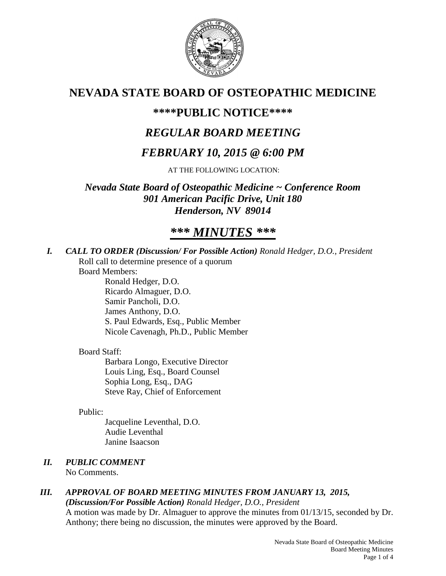

# **NEVADA STATE BOARD OF OSTEOPATHIC MEDICINE**

## **\*\*\*\*PUBLIC NOTICE\*\*\*\***

# *REGULAR BOARD MEETING*

# *FEBRUARY 10, 2015 @ 6:00 PM*

AT THE FOLLOWING LOCATION:

*Nevada State Board of Osteopathic Medicine ~ Conference Room 901 American Pacific Drive, Unit 180 Henderson, NV 89014*

# *\*\*\* MINUTES \*\*\**

*I. CALL TO ORDER (Discussion/ For Possible Action) Ronald Hedger, D.O., President* Roll call to determine presence of a quorum

Board Members:

Ronald Hedger, D.O. Ricardo Almaguer, D.O. Samir Pancholi, D.O. James Anthony, D.O. S. Paul Edwards, Esq., Public Member Nicole Cavenagh, Ph.D., Public Member

#### Board Staff:

Barbara Longo, Executive Director Louis Ling, Esq., Board Counsel Sophia Long, Esq., DAG Steve Ray, Chief of Enforcement

#### Public:

Jacqueline Leventhal, D.O. Audie Leventhal Janine Isaacson

## *II. PUBLIC COMMENT*

No Comments.

## *III. APPROVAL OF BOARD MEETING MINUTES FROM JANUARY 13, 2015,*

*(Discussion/For Possible Action) Ronald Hedger, D.O., President* A motion was made by Dr. Almaguer to approve the minutes from 01/13/15, seconded by Dr. Anthony; there being no discussion, the minutes were approved by the Board.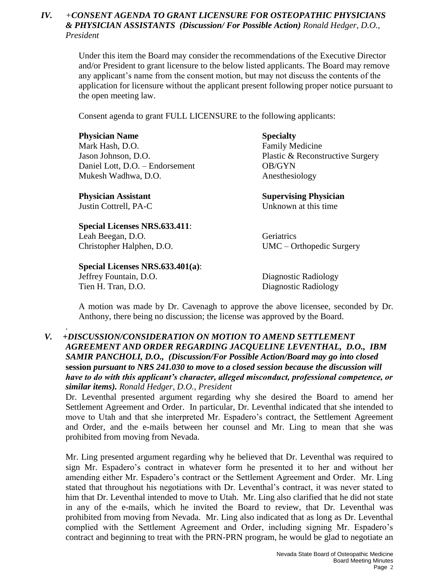#### *IV. +CONSENT AGENDA TO GRANT LICENSURE FOR OSTEOPATHIC PHYSICIANS & PHYSICIAN ASSISTANTS (Discussion/ For Possible Action) Ronald Hedger, D.O., President*

Under this item the Board may consider the recommendations of the Executive Director and/or President to grant licensure to the below listed applicants. The Board may remove any applicant's name from the consent motion, but may not discuss the contents of the application for licensure without the applicant present following proper notice pursuant to the open meeting law.

Consent agenda to grant FULL LICENSURE to the following applicants:

#### **Physician Name Specialty**

Mark Hash, D.O. **Family Medicine** Daniel Lott, D.O. – Endorsement OB/GYN Mukesh Wadhwa, D.O. **Anesthesiology** 

#### **Special Licenses NRS.633.411**:

Leah Beegan, D.O. Geriatrics

#### **Special Licenses NRS.633.401(a)**:

Tien H. Tran, D.O. Diagnostic Radiology

.

Jason Johnson, D.O. Plastic & Reconstructive Surgery

**Physician Assistant Supervising Physician** Justin Cottrell, PA-C Unknown at this time

Christopher Halphen, D.O. UMC – Orthopedic Surgery

Jeffrey Fountain, D.O. Diagnostic Radiology

A motion was made by Dr. Cavenagh to approve the above licensee, seconded by Dr. Anthony, there being no discussion; the license was approved by the Board.

#### *V. +DISCUSSION/CONSIDERATION ON MOTION TO AMEND SETTLEMENT AGREEMENT AND ORDER REGARDING JACQUELINE LEVENTHAL, D.O., IBM SAMIR PANCHOLI, D.O., (Discussion/For Possible Action/Board may go into closed*  **session** *pursuant to NRS 241.030 to move to a closed session because the discussion will have to do with this applicant's character, alleged misconduct, professional competence, or similar items). Ronald Hedger, D.O., President*

Dr. Leventhal presented argument regarding why she desired the Board to amend her Settlement Agreement and Order. In particular, Dr. Leventhal indicated that she intended to move to Utah and that she interpreted Mr. Espadero's contract, the Settlement Agreement and Order, and the e-mails between her counsel and Mr. Ling to mean that she was prohibited from moving from Nevada.

Mr. Ling presented argument regarding why he believed that Dr. Leventhal was required to sign Mr. Espadero's contract in whatever form he presented it to her and without her amending either Mr. Espadero's contract or the Settlement Agreement and Order. Mr. Ling stated that throughout his negotiations with Dr. Leventhal's contract, it was never stated to him that Dr. Leventhal intended to move to Utah. Mr. Ling also clarified that he did not state in any of the e-mails, which he invited the Board to review, that Dr. Leventhal was prohibited from moving from Nevada. Mr. Ling also indicated that as long as Dr. Leventhal complied with the Settlement Agreement and Order, including signing Mr. Espadero's contract and beginning to treat with the PRN-PRN program, he would be glad to negotiate an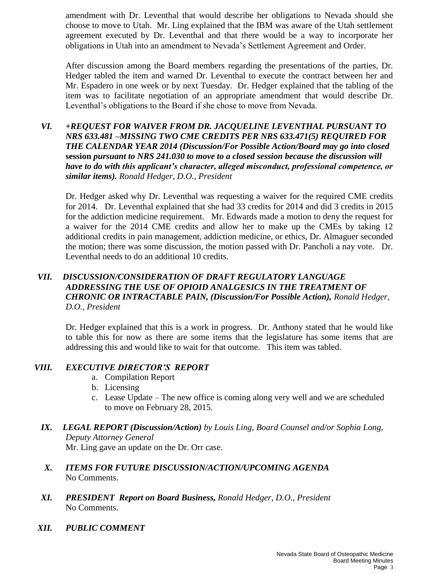amendment with Dr. Leventhal that would describe her obligations to Nevada should she choose to move to Utah. Mr. Ling explained that the IBM was aware of the Utah settlement agreement executed by Dr. Leventhal and that there would be a way to incorporate her obligations in Utah into an amendment to Nevada's Settlement Agreement and Order.

After discussion among the Board members regarding the presentations of the parties, Dr. Hedger tabled the item and warned Dr. Leventhal to execute the contract between her and Mr. Espadero in one week or by next Tuesday. Dr. Hedger explained that the tabling of the item was to facilitate negotiation of an appropriate amendment that would describe Dr. Leventhal's obligations to the Board if she chose to move from Nevada.

#### *VI. +REQUEST FOR WAIVER FROM DR. JACQUELINE LEVENTHAL PURSUANT TO NRS 633.481 –MISSING TWO CME CREDITS PER NRS 633.471(5) REQUIRED FOR THE CALENDAR YEAR 2014 (Discussion/For Possible Action/Board may go into closed*  **session** *pursuant to NRS 241.030 to move to a closed session because the discussion will have to do with this applicant's character, alleged misconduct, professional competence, or similar items). Ronald Hedger, D.O., President*

Dr. Hedger asked why Dr. Leventhal was requesting a waiver for the required CME credits for 2014. Dr. Leventhal explained that she had 33 credits for 2014 and did 3 credits in 2015 for the addiction medicine requirement. Mr. Edwards made a motion to deny the request for a waiver for the 2014 CME credits and allow her to make up the CMEs by taking 12 additional credits in pain management, addiction medicine, or ethics, Dr. Almaguer seconded the motion; there was some discussion, the motion passed with Dr. Pancholi a nay vote. Dr. Leventhal needs to do an additional 10 credits.

#### *VII. DISCUSSION/CONSIDERATION OF DRAFT REGULATORY LANGUAGE ADDRESSING THE USE OF OPIOID ANALGESICS IN THE TREATMENT OF CHRONIC OR INTRACTABLE PAIN, (Discussion/For Possible Action), Ronald Hedger, D.O., President*

Dr. Hedger explained that this is a work in progress. Dr. Anthony stated that he would like to table this for now as there are some items that the legislature has some items that are addressing this and would like to wait for that outcome. This item was tabled.

#### *VIII. EXECUTIVE DIRECTOR'S REPORT*

- a. Compilation Report
- b. Licensing
- c. Lease Update The new office is coming along very well and we are scheduled to move on February 28, 2015.
- *IX. LEGAL REPORT (Discussion/Action) by Louis Ling, Board Counsel and/or Sophia Long, Deputy Attorney General*

Mr. Ling gave an update on the Dr. Orr case.

- *X. ITEMS FOR FUTURE DISCUSSION/ACTION/UPCOMING AGENDA* No Comments.
- *XI. PRESIDENT Report on Board Business, Ronald Hedger, D.O., President* No Comments.
- *XII. PUBLIC COMMENT*